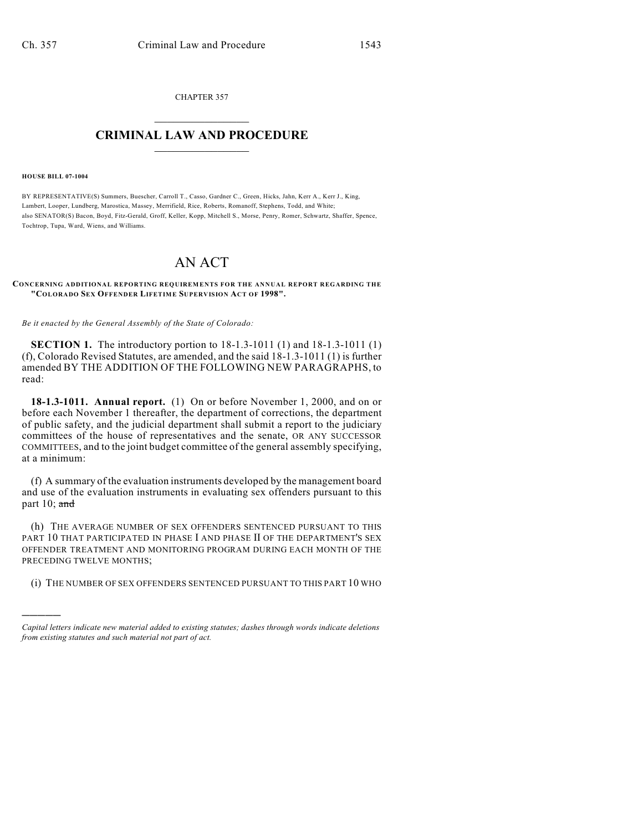CHAPTER 357  $\overline{\phantom{a}}$  . The set of the set of the set of the set of the set of the set of the set of the set of the set of the set of the set of the set of the set of the set of the set of the set of the set of the set of the set o

## **CRIMINAL LAW AND PROCEDURE**  $\frac{1}{2}$  ,  $\frac{1}{2}$  ,  $\frac{1}{2}$  ,  $\frac{1}{2}$  ,  $\frac{1}{2}$  ,  $\frac{1}{2}$  ,  $\frac{1}{2}$

**HOUSE BILL 07-1004**

)))))

BY REPRESENTATIVE(S) Summers, Buescher, Carroll T., Casso, Gardner C., Green, Hicks, Jahn, Kerr A., Kerr J., King, Lambert, Looper, Lundberg, Marostica, Massey, Merrifield, Rice, Roberts, Romanoff, Stephens, Todd, and White; also SENATOR(S) Bacon, Boyd, Fitz-Gerald, Groff, Keller, Kopp, Mitchell S., Morse, Penry, Romer, Schwartz, Shaffer, Spence, Tochtrop, Tupa, Ward, Wiens, and Williams.

## AN ACT

## **CONCERNING ADDITIONAL REPORTING REQUIREMENTS FOR THE ANNUAL REPORT REGARDING THE "COLORADO SEX OFFENDER LIFETIME SUPERVISION ACT OF 1998".**

*Be it enacted by the General Assembly of the State of Colorado:*

**SECTION 1.** The introductory portion to 18-1.3-1011 (1) and 18-1.3-1011 (1) (f), Colorado Revised Statutes, are amended, and the said 18-1.3-1011 (1) is further amended BY THE ADDITION OF THE FOLLOWING NEW PARAGRAPHS, to read:

**18-1.3-1011. Annual report.** (1) On or before November 1, 2000, and on or before each November 1 thereafter, the department of corrections, the department of public safety, and the judicial department shall submit a report to the judiciary committees of the house of representatives and the senate, OR ANY SUCCESSOR COMMITTEES, and to the joint budget committee of the general assembly specifying, at a minimum:

(f) A summary of the evaluation instruments developed by the management board and use of the evaluation instruments in evaluating sex offenders pursuant to this part  $10$ ; and

(h) THE AVERAGE NUMBER OF SEX OFFENDERS SENTENCED PURSUANT TO THIS PART 10 THAT PARTICIPATED IN PHASE I AND PHASE II OF THE DEPARTMENT'S SEX OFFENDER TREATMENT AND MONITORING PROGRAM DURING EACH MONTH OF THE PRECEDING TWELVE MONTHS;

(i) THE NUMBER OF SEX OFFENDERS SENTENCED PURSUANT TO THIS PART 10 WHO

*Capital letters indicate new material added to existing statutes; dashes through words indicate deletions from existing statutes and such material not part of act.*